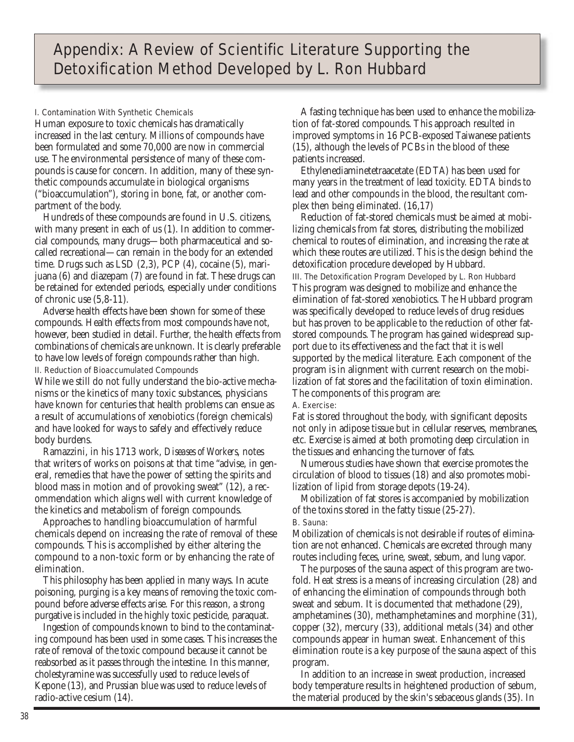# I. Contamination With Synthetic Chemicals

Human exposure to toxic chemicals has dramatically increased in the last century. Millions of compounds have been formulated and some 70,000 are now in commercial use. The environmental persistence of many of these compounds is cause for concern. In addition, many of these synthetic compounds accumulate in biological organisms ("bioaccumulation"), storing in bone, fat, or another compartment of the body.

Hundreds of these compounds are found in U.S. citizens, with many present in each of us (1). In addition to commercial compounds, many drugs—both pharmaceutical and socalled recreational—can remain in the body for an extended time. Drugs such as LSD (2,3), PCP (4), cocaine (5), marijuana (6) and diazepam (7) are found in fat. These drugs can be retained for extended periods, especially under conditions of chronic use (5,8-11).

Adverse health effects have been shown for some of these compounds. Health effects from most compounds have not, however, been studied in detail. Further, the health effects from combinations of chemicals are unknown. It is clearly preferable to have low levels of foreign compounds rather than high. II. Reduction of Bioaccumulated Compounds

While we still do not fully understand the bio-active mechanisms or the kinetics of many toxic substances, physicians have known for centuries that health problems can ensue as a result of accumulations of xenobiotics (foreign chemicals) and have looked for ways to safely and effectively reduce body burdens.

Ramazzini, in his 1713 work, *Diseases of Workers*, notes that writers of works on poisons at that time "advise, in general, remedies that have the power of setting the spirits and blood mass in motion and of provoking sweat" (12), a recommendation which aligns well with current knowledge of the kinetics and metabolism of foreign compounds.

Approaches to handling bioaccumulation of harmful chemicals depend on increasing the rate of removal of these compounds. This is accomplished by either altering the compound to a non-toxic form or by enhancing the rate of elimination.

This philosophy has been applied in many ways. In acute poisoning, purging is a key means of removing the toxic compound before adverse effects arise. For this reason, a strong purgative is included in the highly toxic pesticide, paraquat.

Ingestion of compounds known to bind to the contaminating compound has been used in some cases. This increases the rate of removal of the toxic compound because it cannot be reabsorbed as it passes through the intestine. In this manner, cholestyramine was successfully used to reduce levels of Kepone (13), and Prussian blue was used to reduce levels of radio-active cesium (14).

A fasting technique has been used to enhance the mobilization of fat-stored compounds. This approach resulted in improved symptoms in 16 PCB-exposed Taiwanese patients (15), although the levels of PCBs in the blood of these patients increased.

Ethylenediaminetetraacetate (EDTA) has been used for many years in the treatment of lead toxicity. EDTA binds to lead and other compounds in the blood, the resultant complex then being eliminated. (16,17)

Reduction of fat-stored chemicals must be aimed at mobilizing chemicals from fat stores, distributing the mobilized chemical to routes of elimination, and increasing the rate at which these routes are utilized. This is the design behind the detoxification procedure developed by Hubbard. III. The Detoxification Program Developed by L. Ron Hubbard This program was designed to mobilize and enhance the elimination of fat-stored xenobiotics. The Hubbard program was specifically developed to reduce levels of drug residues but has proven to be applicable to the reduction of other fatstored compounds. The program has gained widespread support due to its effectiveness and the fact that it is well supported by the medical literature. Each component of the program is in alignment with current research on the mobilization of fat stores and the facilitation of toxin elimination. The components of this program are:

A. Exercise:

Fat is stored throughout the body, with significant deposits not only in adipose tissue but in cellular reserves, membranes, etc. Exercise is aimed at both promoting deep circulation in the tissues and enhancing the turnover of fats.

Numerous studies have shown that exercise promotes the circulation of blood to tissues (18) and also promotes mobilization of lipid from storage depots (19-24).

Mobilization of fat stores is accompanied by mobilization of the toxins stored in the fatty tissue (25-27).

# B. Sauna:

Mobilization of chemicals is not desirable if routes of elimination are not enhanced. Chemicals are excreted through many routes including feces, urine, sweat, sebum, and lung vapor.

The purposes of the sauna aspect of this program are twofold. Heat stress is a means of increasing circulation (28) and of enhancing the elimination of compounds through both sweat and sebum. It is documented that methadone (29), amphetamines (30), methamphetamines and morphine (31), copper (32), mercury (33), additional metals (34) and other compounds appear in human sweat. Enhancement of this elimination route is a key purpose of the sauna aspect of this program.

In addition to an increase in sweat production, increased body temperature results in heightened production of sebum, the material produced by the skin's sebaceous glands (35). In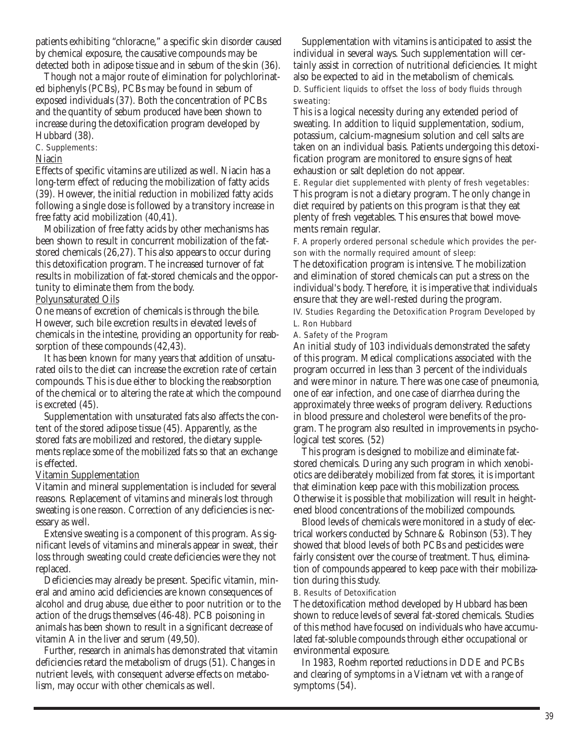patients exhibiting "chloracne," a specific skin disorder caused by chemical exposure, the causative compounds may be detected both in adipose tissue and in sebum of the skin (36).

Though not a major route of elimination for polychlorinated biphenyls (PCBs), PCBs may be found in sebum of exposed individuals (37). Both the concentration of PCBs and the quantity of sebum produced have been shown to increase during the detoxification program developed by Hubbard (38).

### C. Supplements:

### Niacin

Effects of specific vitamins are utilized as well. Niacin has a long-term effect of reducing the mobilization of fatty acids (39). However, the initial reduction in mobilized fatty acids following a single dose is followed by a transitory increase in free fatty acid mobilization (40,41).

Mobilization of free fatty acids by other mechanisms has been shown to result in concurrent mobilization of the fatstored chemicals (26,27). This also appears to occur during this detoxification program. The increased turnover of fat results in mobilization of fat-stored chemicals and the opportunity to eliminate them from the body.

# Polyunsaturated Oils

One means of excretion of chemicals is through the bile. However, such bile excretion results in elevated levels of chemicals in the intestine, providing an opportunity for reabsorption of these compounds (42,43).

It has been known for many years that addition of unsaturated oils to the diet can increase the excretion rate of certain compounds. This is due either to blocking the reabsorption of the chemical or to altering the rate at which the compound is excreted (45).

Supplementation with unsaturated fats also affects the content of the stored adipose tissue (45). Apparently, as the stored fats are mobilized and restored, the dietary supplements replace some of the mobilized fats so that an exchange is effected.

### Vitamin Supplementation

Vitamin and mineral supplementation is included for several reasons. Replacement of vitamins and minerals lost through sweating is one reason. Correction of any deficiencies is necessary as well.

Extensive sweating is a component of this program. As significant levels of vitamins and minerals appear in sweat, their loss through sweating could create deficiencies were they not replaced.

Deficiencies may already be present. Specific vitamin, mineral and amino acid deficiencies are known consequences of alcohol and drug abuse, due either to poor nutrition or to the action of the drugs themselves (46-48). PCB poisoning in animals has been shown to result in a significant decrease of vitamin A in the liver and serum (49,50).

Further, research in animals has demonstrated that vitamin deficiencies retard the metabolism of drugs (51). Changes in nutrient levels, with consequent adverse effects on metabolism, may occur with other chemicals as well.

Supplementation with vitamins is anticipated to assist the individual in several ways. Such supplementation will certainly assist in correction of nutritional deficiencies. It might also be expected to aid in the metabolism of chemicals. D. Sufficient liquids to offset the loss of body fluids through sweating:

This is a logical necessity during any extended period of sweating. In addition to liquid supplementation, sodium, potassium, calcium-magnesium solution and cell salts are taken on an individual basis. Patients undergoing this detoxification program are monitored to ensure signs of heat exhaustion or salt depletion do not appear.

E. Regular diet supplemented with plenty of fresh vegetables: This program is not a dietary program. The only change in diet required by patients on this program is that they eat plenty of fresh vegetables. This ensures that bowel movements remain regular.

F. A properly ordered personal schedule which provides the person with the normally required amount of sleep:

The detoxification program is intensive. The mobilization and elimination of stored chemicals can put a stress on the individual's body. Therefore, it is imperative that individuals ensure that they are well-rested during the program.

IV. Studies Regarding the Detoxification Program Developed by L. Ron Hubbard

### A. Safety of the Program

An initial study of 103 individuals demonstrated the safety of this program. Medical complications associated with the program occurred in less than 3 percent of the individuals and were minor in nature. There was one case of pneumonia, one of ear infection, and one case of diarrhea during the approximately three weeks of program delivery. Reductions in blood pressure and cholesterol were benefits of the program. The program also resulted in improvements in psychological test scores. (52)

This program is designed to mobilize and eliminate fatstored chemicals. During any such program in which xenobiotics are deliberately mobilized from fat stores, it is important that elimination keep pace with this mobilization process. Otherwise it is possible that mobilization will result in heightened blood concentrations of the mobilized compounds.

Blood levels of chemicals were monitored in a study of electrical workers conducted by Schnare & Robinson (53). They showed that blood levels of both PCBs and pesticides were fairly consistent over the course of treatment. Thus, elimination of compounds appeared to keep pace with their mobilization during this study.

# B. Results of Detoxification

The detoxification method developed by Hubbard has been shown to reduce levels of several fat-stored chemicals. Studies of this method have focused on individuals who have accumulated fat-soluble compounds through either occupational or environmental exposure.

In 1983, Roehm reported reductions in DDE and PCBs and clearing of symptoms in a Vietnam vet with a range of symptoms (54).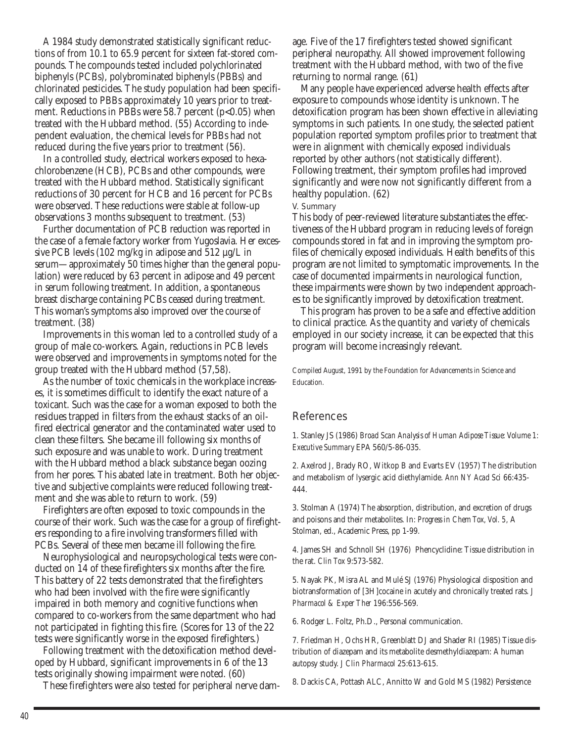A 1984 study demonstrated statistically significant reductions of from 10.1 to 65.9 percent for sixteen fat-stored compounds. The compounds tested included polychlorinated biphenyls (PCBs), polybrominated biphenyls (PBBs) and chlorinated pesticides. The study population had been specifically exposed to PBBs approximately 10 years prior to treatment. Reductions in PBBs were 58.7 percent  $(p<0.05)$  when treated with the Hubbard method. (55) According to independent evaluation, the chemical levels for PBBs had not reduced during the five years prior to treatment (56).

In a controlled study, electrical workers exposed to hexachlorobenzene (HCB), PCBs and other compounds, were treated with the Hubbard method. Statistically significant reductions of 30 percent for HCB and 16 percent for PCBs were observed. These reductions were stable at follow-up observations 3 months subsequent to treatment. (53)

Further documentation of PCB reduction was reported in the case of a female factory worker from Yugoslavia. Her excessive PCB levels (102 mg/kg in adipose and 512 µg/L in serum—approximately 50 times higher than the general population) were reduced by 63 percent in adipose and 49 percent in serum following treatment. In addition, a spontaneous breast discharge containing PCBs ceased during treatment. This woman's symptoms also improved over the course of treatment. (38)

Improvements in this woman led to a controlled study of a group of male co-workers. Again, reductions in PCB levels were observed and improvements in symptoms noted for the group treated with the Hubbard method (57,58).

As the number of toxic chemicals in the workplace increases, it is sometimes difficult to identify the exact nature of a toxicant. Such was the case for a woman exposed to both the residues trapped in filters from the exhaust stacks of an oilfired electrical generator and the contaminated water used to clean these filters. She became ill following six months of such exposure and was unable to work. During treatment with the Hubbard method a black substance began oozing from her pores. This abated late in treatment. Both her objective and subjective complaints were reduced following treatment and she was able to return to work. (59)

Firefighters are often exposed to toxic compounds in the course of their work. Such was the case for a group of firefighters responding to a fire involving transformers filled with PCBs. Several of these men became ill following the fire.

Neurophysiological and neuropsychological tests were conducted on 14 of these firefighters six months after the fire. This battery of 22 tests demonstrated that the firefighters who had been involved with the fire were significantly impaired in both memory and cognitive functions when compared to co-workers from the same department who had not participated in fighting this fire. (Scores for 13 of the 22 tests were significantly worse in the exposed firefighters.)

Following treatment with the detoxification method developed by Hubbard, significant improvements in 6 of the 13 tests originally showing impairment were noted. (60)

These firefighters were also tested for peripheral nerve dam-

age. Five of the 17 firefighters tested showed significant peripheral neuropathy. All showed improvement following treatment with the Hubbard method, with two of the five returning to normal range. (61)

Many people have experienced adverse health effects after exposure to compounds whose identity is unknown. The detoxification program has been shown effective in alleviating symptoms in such patients. In one study, the selected patient population reported symptom profiles prior to treatment that were in alignment with chemically exposed individuals reported by other authors (not statistically different). Following treatment, their symptom profiles had improved significantly and were now not significantly different from a healthy population. (62)

V. Summary

This body of peer-reviewed literature substantiates the effectiveness of the Hubbard program in reducing levels of foreign compounds stored in fat and in improving the symptom profiles of chemically exposed individuals. Health benefits of this program are not limited to symptomatic improvements. In the case of documented impairments in neurological function, these impairments were shown by two independent approaches to be significantly improved by detoxification treatment.

This program has proven to be a safe and effective addition to clinical practice. As the quantity and variety of chemicals employed in our society increase, it can be expected that this program will become increasingly relevant.

Compiled August, 1991 by the Foundation for Advancements in Science and Education.

# **References**

1. Stanley JS (1986) *Broad Scan Analysis of Human Adipose Tissue: Volume 1: Executive Summary* EPA 560/5-86-035.

2. Axelrod J, Brady RO, Witkop B and Evarts EV (1957) The distribution and metabolism of lysergic acid diethylamide. *Ann NY Acad Sci* 66:435- 444.

3. Stolman A (1974) The absorption, distribution, and excretion of drugs and poisons and their metabolites. In: *Progress in Chem Tox, Vol. 5,* A Stolman, ed., Academic Press, pp 1-99.

4. James SH and Schnoll SH (1976) Phencyclidine: Tissue distribution in the rat. *Clin Tox* 9:573-582.

5. Nayak PK, Misra AL and Mulé SJ (1976) Physiological disposition and biotransformation of [3H]cocaine in acutely and chronically treated rats. *J Pharmacol & Exper Ther* 196:556-569.

6. Rodger L. Foltz, Ph.D., Personal communication.

7. Friedman H, Ochs HR, Greenblatt DJ and Shader RI (1985) Tissue distribution of diazepam and its metabolite desmethyldiazepam: A human autopsy study. *J Clin Pharmacol* 25:613-615.

8. Dackis CA, Pottash ALC, Annitto W and Gold MS (1982) Persistence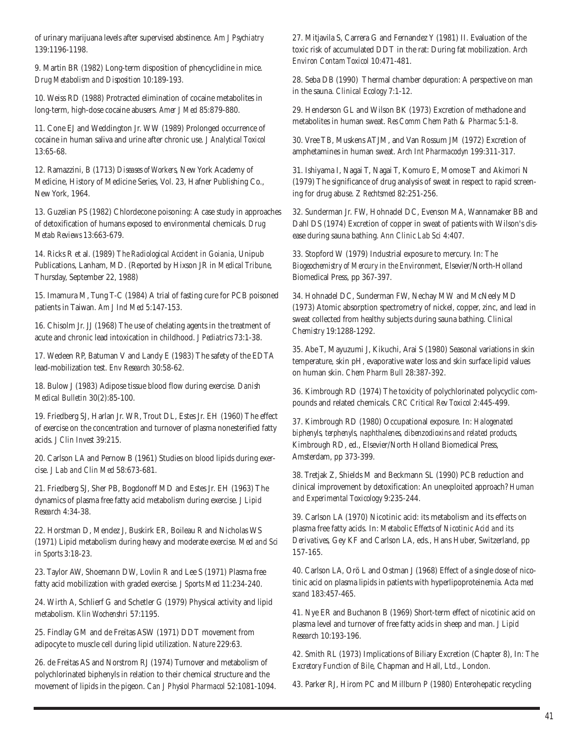of urinary marijuana levels after supervised abstinence. *Am J Psychiatry* 139:1196-1198.

9. Martin BR (1982) Long-term disposition of phencyclidine in mice. *Drug Metabolism and Disposition* 10:189-193.

10. Weiss RD (1988) Protracted elimination of cocaine metabolites in long-term, high-dose cocaine abusers. *Amer J Med* 85:879-880.

11. Cone EJ and Weddington Jr. WW (1989) Prolonged occurrence of cocaine in human saliva and urine after chronic use. *J Analytical Toxicol* 13:65-68.

12. Ramazzini, B (1713) *Diseases of Workers*, New York Academy of Medicine, History of Medicine Series, Vol. 23, Hafner Publishing Co., New York, 1964.

13. Guzelian PS (1982) Chlordecone poisoning: A case study in approaches of detoxification of humans exposed to environmental chemicals. *Drug Metab Reviews* 13:663-679.

14. Ricks R et al. (1989) *The Radiological Accident in Goiania*, Unipub Publications, Lanham, MD. (Reported by Hixson JR in *Medical Tribune*, Thursday, September 22, 1988)

15. Imamura M, Tung T-C (1984) A trial of fasting cure for PCB poisoned patients in Taiwan. *Am J Ind Med* 5:147-153.

16. Chisolm Jr. JJ (1968) The use of chelating agents in the treatment of acute and chronic lead intoxication in childhood. *J Pediatrics* 73:1-38.

17. Wedeen RP, Batuman V and Landy E (1983) The safety of the EDTA lead-mobilization test. *Env Research* 30:58-62.

18. Bulow J (1983) Adipose tissue blood flow during exercise. *Danish Medical Bulletin* 30(2):85-100.

19. Friedberg SJ, Harlan Jr. WR, Trout DL, Estes Jr. EH (1960) The effect of exercise on the concentration and turnover of plasma nonesterified fatty acids. *J Clin Invest* 39:215.

20. Carlson LA and Pernow B (1961) Studies on blood lipids during exercise. *J Lab and Clin Med* 58:673-681.

21. Friedberg SJ, Sher PB, Bogdonoff MD and Estes Jr. EH (1963) The dynamics of plasma free fatty acid metabolism during exercise. *J Lipid Research* 4:34-38.

22. Horstman D, Mendez J, Buskirk ER, Boileau R and Nicholas WS (1971) Lipid metabolism during heavy and moderate exercise. *Med and Sci in Sports* 3:18-23.

23. Taylor AW, Shoemann DW, Lovlin R and Lee S (1971) Plasma free fatty acid mobilization with graded exercise. *J Sports Med* 11:234-240.

24. Wirth A, Schlierf G and Schetler G (1979) Physical activity and lipid metabolism. *Klin Wochenshri* 57:1195.

25. Findlay GM and de Freitas ASW (1971) DDT movement from adipocyte to muscle cell during lipid utilization. *Nature* 229:63.

26. de Freitas AS and Norstrom RJ (1974) Turnover and metabolism of polychlorinated biphenyls in relation to their chemical structure and the movement of lipids in the pigeon. *Can J Physiol Pharmacol* 52:1081-1094. 27. Mitjavila S, Carrera G and Fernandez Y (1981) II. Evaluation of the toxic risk of accumulated DDT in the rat: During fat mobilization. *Arch Environ Contam Toxicol* 10:471-481.

28. Seba DB (1990) Thermal chamber depuration: A perspective on man in the sauna. *Clinical Ecology* 7:1-12.

29. Henderson GL and Wilson BK (1973) Excretion of methadone and metabolites in human sweat. *Res Comm Chem Path & Pharmac* 5:1-8.

30. Vree TB, Muskens ATJM, and Van Rossum JM (1972) Excretion of amphetamines in human sweat. *Arch Int Pharmacodyn* 199:311-317.

31. Ishiyama I, Nagai T, Nagai T, Komuro E, Momose T and Akimori N (1979) The significance of drug analysis of sweat in respect to rapid screening for drug abuse. *Z Rechtsmed* 82:251-256.

32. Sunderman Jr. FW, Hohnadel DC, Evenson MA, Wannamaker BB and Dahl DS (1974) Excretion of copper in sweat of patients with Wilson's disease during sauna bathing. *Ann Clinic Lab Sci* 4:407.

33. Stopford W (1979) Industrial exposure to mercury. In: *The Biogeochemistry of Mercury in the Environment*, Elsevier/North-Holland Biomedical Press, pp 367-397.

34. Hohnadel DC, Sunderman FW, Nechay MW and McNeely MD (1973) Atomic absorption spectrometry of nickel, copper, zinc, and lead in sweat collected from healthy subjects during sauna bathing. *Clinical Chemistry* 19:1288-1292.

35. Abe T, Mayuzumi J, Kikuchi, Arai S (1980) Seasonal variations in skin temperature, skin pH, evaporative water loss and skin surface lipid values on human skin. *Chem Pharm Bull* 28:387-392.

36. Kimbrough RD (1974) The toxicity of polychlorinated polycyclic compounds and related chemicals. *CRC Critical Rev Toxicol* 2:445-499.

37. Kimbrough RD (1980) Occupational exposure. In: *Halogenated biphenyls, terphenyls, naphthalenes, dibenzodioxins and related products*, Kimbrough RD, ed., Elsevier/North Holland Biomedical Press, Amsterdam, pp 373-399.

38. Tretjak Z, Shields M and Beckmann SL (1990) PCB reduction and clinical improvement by detoxification: An unexploited approach? *Human and Experimental Toxicology* 9:235-244.

39. Carlson LA (1970) Nicotinic acid: its metabolism and its effects on plasma free fatty acids. In: *Metabolic Effects of Nicotinic Acid and its Derivatives*, Gey KF and Carlson LA, eds., Hans Huber, Switzerland, pp 157-165.

40. Carlson LA, Orö L and Ostman J (1968) Effect of a single dose of nicotinic acid on plasma lipids in patients with hyperlipoproteinemia. A*cta med scand* 183:457-465.

41. Nye ER and Buchanon B (1969) Short-term effect of nicotinic acid on plasma level and turnover of free fatty acids in sheep and man. *J Lipid Research* 10:193-196.

42. Smith RL (1973) Implications of Biliary Excretion (Chapter 8), In: *The Excretory Function of Bile*, Chapman and Hall, Ltd., London.

43. Parker RJ, Hirom PC and Millburn P (1980) Enterohepatic recycling